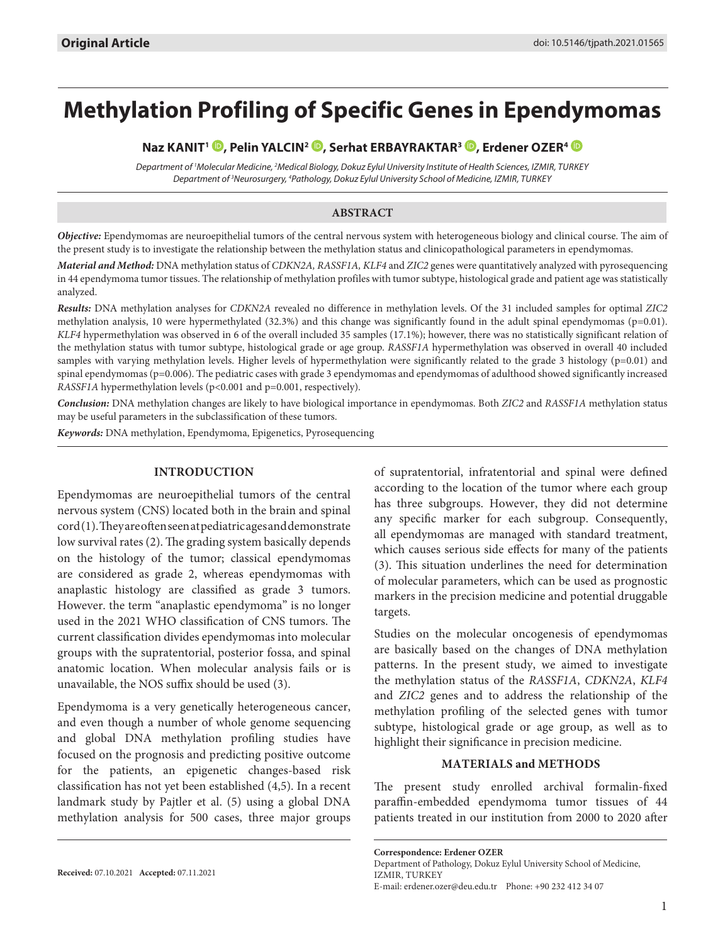# **Methylation Profiling of Specific Genes in Ependymomas**

## **Naz KANIT1 , Pelin YALCIN2 [,](http://orcid.org/0000-0002-3906-6918) Serhat ERBAYRAKTAR3 [,](http://orcid.org/0000-0002-2938-578X) Erdener OZER4**

*Department of 1 Molecular Medicine, 2 Medical Biology, Dokuz Eylul University Institute of Health Sciences, IZMIR, TURKEY Department of 3 Neurosurgery, 4 Pathology, Dokuz Eylul University School of Medicine, IZMIR, TURKEY*

#### **ABSTRACT**

*Objective:* Ependymomas are neuroepithelial tumors of the central nervous system with heterogeneous biology and clinical course. The aim of the present study is to investigate the relationship between the methylation status and clinicopathological parameters in ependymomas.

*Material and Method:* DNA methylation status of *CDKN2A, RASSF1A, KLF4* and *ZIC2* genes were quantitatively analyzed with pyrosequencing in 44 ependymoma tumor tissues. The relationship of methylation profiles with tumor subtype, histological grade and patient age was statistically analyzed.

*Results:* DNA methylation analyses for *CDKN2A* revealed no difference in methylation levels. Of the 31 included samples for optimal *ZIC2* methylation analysis, 10 were hypermethylated (32.3%) and this change was significantly found in the adult spinal ependymomas (p=0.01). *KLF4* hypermethylation was observed in 6 of the overall included 35 samples (17.1%); however, there was no statistically significant relation of the methylation status with tumor subtype, histological grade or age group. *RASSF1A* hypermethylation was observed in overall 40 included samples with varying methylation levels. Higher levels of hypermethylation were significantly related to the grade 3 histology (p=0.01) and spinal ependymomas (p=0.006). The pediatric cases with grade 3 ependymomas and ependymomas of adulthood showed significantly increased *RASSF1A* hypermethylation levels (p<0.001 and p=0.001, respectively).

*Conclusion:* DNA methylation changes are likely to have biological importance in ependymomas. Both *ZIC2* and *RASSF1A* methylation status may be useful parameters in the subclassification of these tumors.

*Keywords:* DNA methylation, Ependymoma, Epigenetics, Pyrosequencing

#### **INTRODUCTION**

Ependymomas are neuroepithelial tumors of the central nervous system (CNS) located both in the brain and spinal cord (1). They are often seen at pediatric ages and demonstrate low survival rates (2). The grading system basically depends on the histology of the tumor; classical ependymomas are considered as grade 2, whereas ependymomas with anaplastic histology are classified as grade 3 tumors. However. the term "anaplastic ependymoma" is no longer used in the 2021 WHO classification of CNS tumors. The current classification divides ependymomas into molecular groups with the supratentorial, posterior fossa, and spinal anatomic location. When molecular analysis fails or is unavailable, the NOS suffix should be used (3).

Ependymoma is a very genetically heterogeneous cancer, and even though a number of whole genome sequencing and global DNA methylation profiling studies have focused on the prognosis and predicting positive outcome for the patients, an epigenetic changes-based risk classification has not yet been established (4,5). In a recent landmark study by Pajtler et al. (5) using a global DNA methylation analysis for 500 cases, three major groups

of supratentorial, infratentorial and spinal were defined according to the location of the tumor where each group has three subgroups. However, they did not determine any specific marker for each subgroup. Consequently, all ependymomas are managed with standard treatment, which causes serious side effects for many of the patients (3). This situation underlines the need for determination of molecular parameters, which can be used as prognostic markers in the precision medicine and potential druggable targets.

Studies on the molecular oncogenesis of ependymomas are basically based on the changes of DNA methylation patterns. In the present study, we aimed to investigate the methylation status of the *RASSF1A*, *CDKN2A*, *KLF4* and *ZIC2* genes and to address the relationship of the methylation profiling of the selected genes with tumor subtype, histological grade or age group, as well as to highlight their significance in precision medicine.

#### **MATERIALS and METHODS**

The present study enrolled archival formalin-fixed paraffin-embedded ependymoma tumor tissues of 44 patients treated in our institution from 2000 to 2020 after

**Correspondence: Erdener OZER**  Department of Pathology, Dokuz Eylul University School of Medicine, IZMIR, TURKEY E-mail: erdener.ozer@deu.edu.tr Phone: +90 232 412 34 07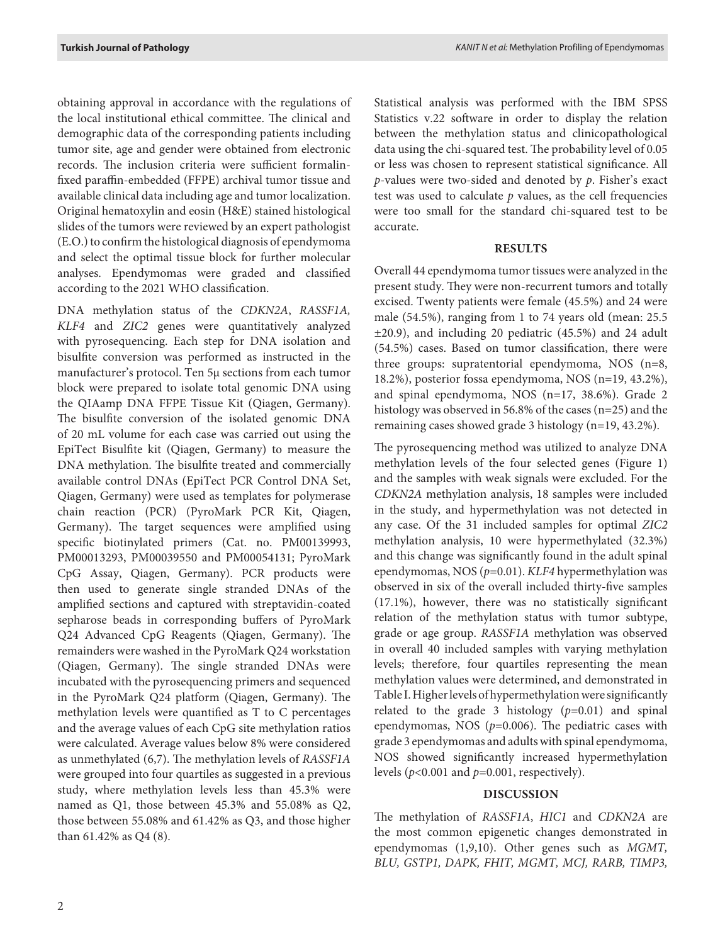obtaining approval in accordance with the regulations of the local institutional ethical committee. The clinical and demographic data of the corresponding patients including tumor site, age and gender were obtained from electronic records. The inclusion criteria were sufficient formalinfixed paraffin-embedded (FFPE) archival tumor tissue and available clinical data including age and tumor localization. Original hematoxylin and eosin (H&E) stained histological slides of the tumors were reviewed by an expert pathologist (E.O.) to confirm the histological diagnosis of ependymoma and select the optimal tissue block for further molecular analyses. Ependymomas were graded and classified according to the 2021 WHO classification.

DNA methylation status of the *CDKN2A*, *RASSF1A, KLF4* and *ZIC2* genes were quantitatively analyzed with pyrosequencing. Each step for DNA isolation and bisulfite conversion was performed as instructed in the manufacturer's protocol. Ten 5μ sections from each tumor block were prepared to isolate total genomic DNA using the QIAamp DNA FFPE Tissue Kit (Qiagen, Germany). The bisulfite conversion of the isolated genomic DNA of 20 mL volume for each case was carried out using the EpiTect Bisulfite kit (Qiagen, Germany) to measure the DNA methylation. The bisulfite treated and commercially available control DNAs (EpiTect PCR Control DNA Set, Qiagen, Germany) were used as templates for polymerase chain reaction (PCR) (PyroMark PCR Kit, Qiagen, Germany). The target sequences were amplified using specific biotinylated primers (Cat. no. PM00139993, PM00013293, PM00039550 and PM00054131; PyroMark CpG Assay, Qiagen, Germany). PCR products were then used to generate single stranded DNAs of the amplified sections and captured with streptavidin-coated sepharose beads in corresponding buffers of PyroMark Q24 Advanced CpG Reagents (Qiagen, Germany). The remainders were washed in the PyroMark Q24 workstation (Qiagen, Germany). The single stranded DNAs were incubated with the pyrosequencing primers and sequenced in the PyroMark Q24 platform (Qiagen, Germany). The methylation levels were quantified as T to C percentages and the average values of each CpG site methylation ratios were calculated. Average values below 8% were considered as unmethylated (6,7). The methylation levels of *RASSF1A* were grouped into four quartiles as suggested in a previous study, where methylation levels less than 45.3% were named as Q1, those between 45.3% and 55.08% as Q2, those between 55.08% and 61.42% as Q3, and those higher than 61.42% as Q4 (8).

Statistical analysis was performed with the IBM SPSS Statistics v.22 software in order to display the relation between the methylation status and clinicopathological data using the chi-squared test. The probability level of 0.05 or less was chosen to represent statistical significance. All *p*-values were two-sided and denoted by *p*. Fisher's exact test was used to calculate *p* values, as the cell frequencies were too small for the standard chi-squared test to be accurate.

#### **RESULTS**

Overall 44 ependymoma tumor tissues were analyzed in the present study. They were non-recurrent tumors and totally excised. Twenty patients were female (45.5%) and 24 were male (54.5%), ranging from 1 to 74 years old (mean: 25.5 ±20.9), and including 20 pediatric (45.5%) and 24 adult (54.5%) cases. Based on tumor classification, there were three groups: supratentorial ependymoma, NOS (n=8, 18.2%), posterior fossa ependymoma, NOS (n=19, 43.2%), and spinal ependymoma, NOS (n=17, 38.6%). Grade 2 histology was observed in 56.8% of the cases (n=25) and the remaining cases showed grade 3 histology (n=19, 43.2%).

The pyrosequencing method was utilized to analyze DNA methylation levels of the four selected genes (Figure 1) and the samples with weak signals were excluded. For the *CDKN2A* methylation analysis, 18 samples were included in the study, and hypermethylation was not detected in any case. Of the 31 included samples for optimal *ZIC2* methylation analysis, 10 were hypermethylated (32.3%) and this change was significantly found in the adult spinal ependymomas, NOS (*p*=0.01). *KLF4* hypermethylation was observed in six of the overall included thirty-five samples (17.1%), however, there was no statistically significant relation of the methylation status with tumor subtype, grade or age group. *RASSF1A* methylation was observed in overall 40 included samples with varying methylation levels; therefore, four quartiles representing the mean methylation values were determined, and demonstrated in Table I. Higher levels of hypermethylation were significantly related to the grade 3 histology (*p*=0.01) and spinal ependymomas, NOS (*p*=0.006). The pediatric cases with grade 3 ependymomas and adults with spinal ependymoma, NOS showed significantly increased hypermethylation levels (*p*<0.001 and *p*=0.001, respectively).

### **DISCUSSION**

The methylation of *RASSF1A*, *HIC1* and *CDKN2A* are the most common epigenetic changes demonstrated in ependymomas (1,9,10). Other genes such as *MGMT, BLU, GSTP1, DAPK, FHIT, MGMT, MCJ, RARB, TIMP3,*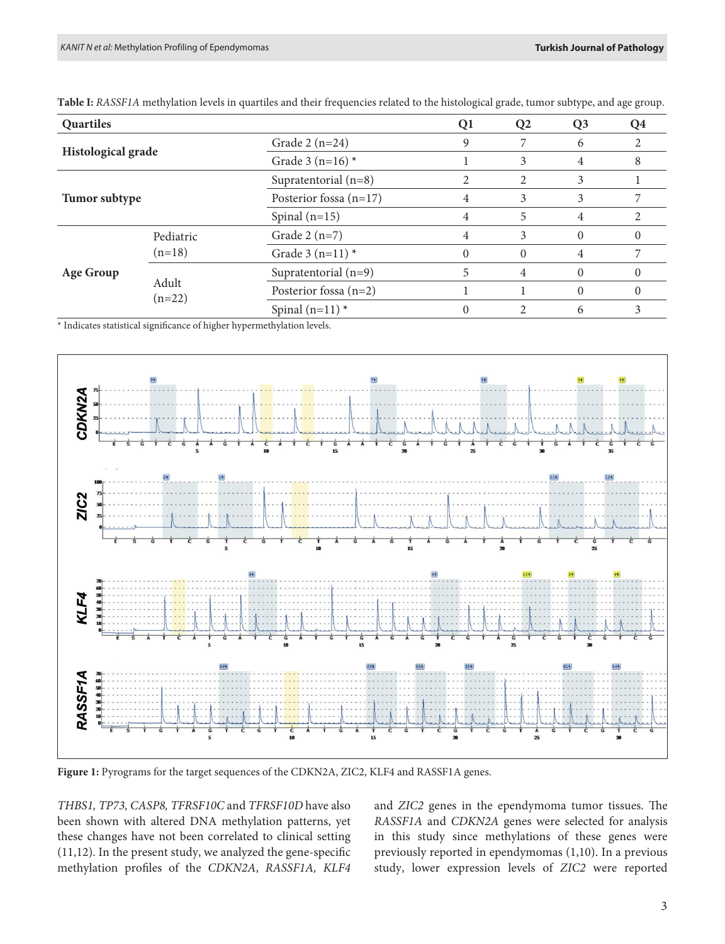| Quartiles                 |                       |                          | Q1       | Q <sub>2</sub> | Q <sub>3</sub> | O4 |
|---------------------------|-----------------------|--------------------------|----------|----------------|----------------|----|
| <b>Histological grade</b> |                       | Grade $2(n=24)$          | 9        |                | 6              |    |
|                           |                       | Grade 3 (n=16) $*$       |          | 3              | 4              | 8  |
| Tumor subtype             |                       | Supratentorial $(n=8)$   |          | 2              | 3              |    |
|                           |                       | Posterior fossa $(n=17)$ | 4        |                | 3              |    |
|                           |                       | Spinal $(n=15)$          | 4        | 5              | 4              |    |
| <b>Age Group</b>          | Pediatric<br>$(n=18)$ | Grade $2(n=7)$           | 4        | 3              | $\theta$       | 0  |
|                           |                       | Grade 3 $(n=11)$ *       | $\Omega$ | $\Omega$       | 4              |    |
|                           | Adult<br>$(n=22)$     | Supratentorial $(n=9)$   | 5        | 4              | $\Omega$       | 0  |
|                           |                       | Posterior fossa $(n=2)$  |          |                | 0              | 0  |
|                           |                       | Spinal $(n=11)$ *        |          |                | 6              |    |

**Table I:** *RASSF1A* methylation levels in quartiles and their frequencies related to the histological grade, tumor subtype, and age group.

\* Indicates statistical significance of higher hypermethylation levels.



**Figure 1:** Pyrograms for the target sequences of the CDKN2A, ZIC2, KLF4 and RASSF1A genes.

*THBS1, TP73, CASP8, TFRSF10C* and *TFRSF10D* have also been shown with altered DNA methylation patterns, yet these changes have not been correlated to clinical setting (11,12). In the present study, we analyzed the gene-specific methylation profiles of the *CDKN2A*, *RASSF1A, KLF4* 

and *ZIC2* genes in the ependymoma tumor tissues. The *RASSF1A* and *CDKN2A* genes were selected for analysis in this study since methylations of these genes were previously reported in ependymomas (1,10). In a previous study, lower expression levels of *ZIC2* were reported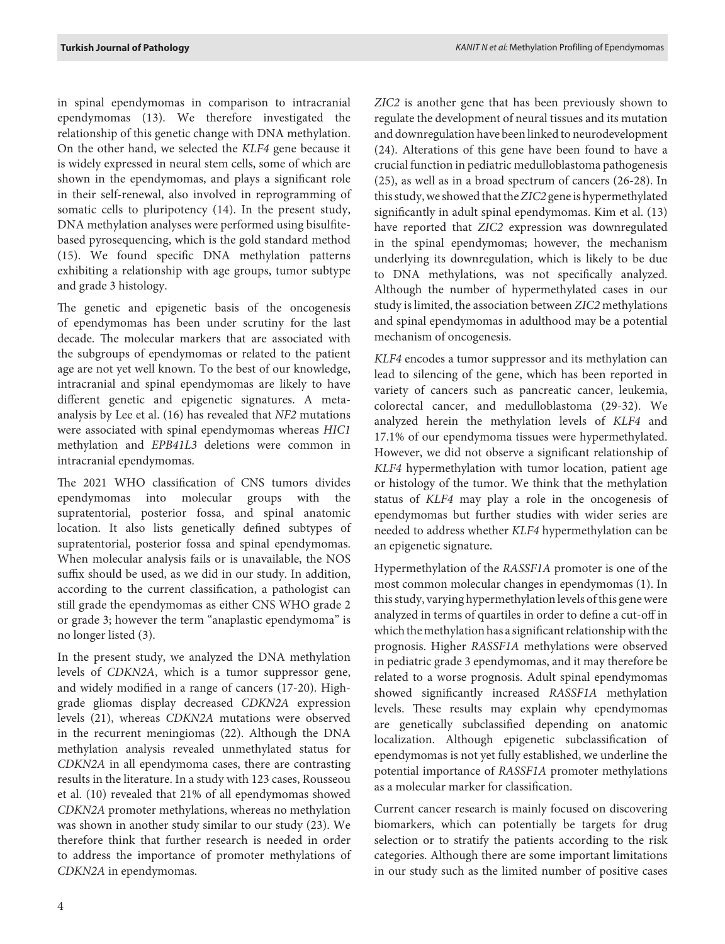in spinal ependymomas in comparison to intracranial ependymomas (13). We therefore investigated the relationship of this genetic change with DNA methylation. On the other hand, we selected the *KLF4* gene because it is widely expressed in neural stem cells, some of which are shown in the ependymomas, and plays a significant role in their self-renewal, also involved in reprogramming of somatic cells to pluripotency (14). In the present study, DNA methylation analyses were performed using bisulfitebased pyrosequencing, which is the gold standard method (15). We found specific DNA methylation patterns exhibiting a relationship with age groups, tumor subtype and grade 3 histology.

The genetic and epigenetic basis of the oncogenesis of ependymomas has been under scrutiny for the last decade. The molecular markers that are associated with the subgroups of ependymomas or related to the patient age are not yet well known. To the best of our knowledge, intracranial and spinal ependymomas are likely to have different genetic and epigenetic signatures. A metaanalysis by Lee et al. (16) has revealed that *NF2* mutations were associated with spinal ependymomas whereas *HIC1* methylation and *EPB41L3* deletions were common in intracranial ependymomas.

The 2021 WHO classification of CNS tumors divides ependymomas into molecular groups with the supratentorial, posterior fossa, and spinal anatomic location. It also lists genetically defined subtypes of supratentorial, posterior fossa and spinal ependymomas. When molecular analysis fails or is unavailable, the NOS suffix should be used, as we did in our study. In addition, according to the current classification, a pathologist can still grade the ependymomas as either CNS WHO grade 2 or grade 3; however the term "anaplastic ependymoma" is no longer listed (3).

In the present study, we analyzed the DNA methylation levels of *CDKN2A*, which is a tumor suppressor gene, and widely modified in a range of cancers (17-20). Highgrade gliomas display decreased *CDKN2A* expression levels (21), whereas *CDKN2A* mutations were observed in the recurrent meningiomas (22). Although the DNA methylation analysis revealed unmethylated status for *CDKN2A* in all ependymoma cases, there are contrasting results in the literature. In a study with 123 cases, Rousseou et al. (10) revealed that 21% of all ependymomas showed *CDKN2A* promoter methylations, whereas no methylation was shown in another study similar to our study (23). We therefore think that further research is needed in order to address the importance of promoter methylations of *CDKN2A* in ependymomas.

*ZIC2* is another gene that has been previously shown to regulate the development of neural tissues and its mutation and downregulation have been linked to neurodevelopment (24). Alterations of this gene have been found to have a crucial function in pediatric medulloblastoma pathogenesis (25), as well as in a broad spectrum of cancers (26-28). In this study, we showed that the *ZIC2* gene is hypermethylated significantly in adult spinal ependymomas. Kim et al. (13) have reported that *ZIC2* expression was downregulated in the spinal ependymomas; however, the mechanism underlying its downregulation, which is likely to be due to DNA methylations, was not specifically analyzed. Although the number of hypermethylated cases in our study is limited, the association between *ZIC2* methylations and spinal ependymomas in adulthood may be a potential mechanism of oncogenesis.

*KLF4* encodes a tumor suppressor and its methylation can lead to silencing of the gene, which has been reported in variety of cancers such as pancreatic cancer, leukemia, colorectal cancer, and medulloblastoma (29-32). We analyzed herein the methylation levels of *KLF4* and 17.1% of our ependymoma tissues were hypermethylated. However, we did not observe a significant relationship of *KLF4* hypermethylation with tumor location, patient age or histology of the tumor. We think that the methylation status of *KLF4* may play a role in the oncogenesis of ependymomas but further studies with wider series are needed to address whether *KLF4* hypermethylation can be an epigenetic signature.

Hypermethylation of the *RASSF1A* promoter is one of the most common molecular changes in ependymomas (1). In this study, varying hypermethylation levels of this gene were analyzed in terms of quartiles in order to define a cut-off in which the methylation has a significant relationship with the prognosis. Higher *RASSF1A* methylations were observed in pediatric grade 3 ependymomas, and it may therefore be related to a worse prognosis. Adult spinal ependymomas showed significantly increased *RASSF1A* methylation levels. These results may explain why ependymomas are genetically subclassified depending on anatomic localization. Although epigenetic subclassification of ependymomas is not yet fully established, we underline the potential importance of *RASSF1A* promoter methylations as a molecular marker for classification.

Current cancer research is mainly focused on discovering biomarkers, which can potentially be targets for drug selection or to stratify the patients according to the risk categories. Although there are some important limitations in our study such as the limited number of positive cases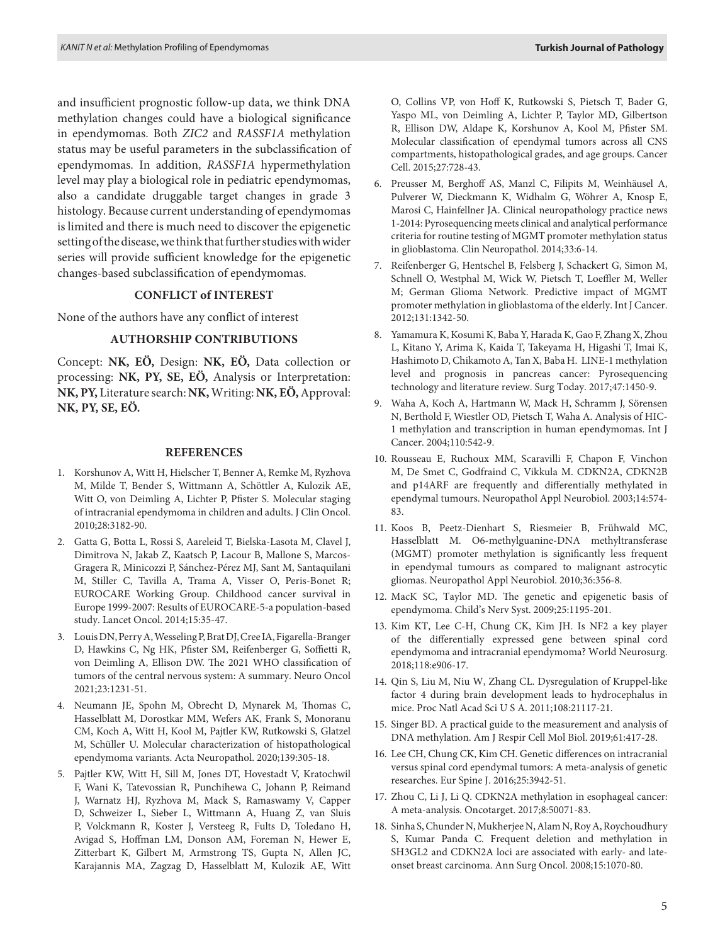and insufficient prognostic follow-up data, we think DNA methylation changes could have a biological significance in ependymomas. Both *ZIC2* and *RASSF1A* methylation status may be useful parameters in the subclassification of ependymomas. In addition, *RASSF1A* hypermethylation level may play a biological role in pediatric ependymomas, also a candidate druggable target changes in grade 3 histology. Because current understanding of ependymomas is limited and there is much need to discover the epigenetic setting of the disease, we think that further studies with wider series will provide sufficient knowledge for the epigenetic changes-based subclassification of ependymomas.

#### **CONFLICT of INTEREST**

None of the authors have any conflict of interest

#### **AUTHORSHIP CONTRIBUTIONS**

Concept: **NK, EÖ,** Design: **NK, EÖ,** Data collection or processing: **NK, PY, SE, EÖ,** Analysis or Interpretation: **NK, PY,** Literature search: **NK,** Writing: **NK, EÖ,** Approval: **NK, PY, SE, EÖ.**

#### **REFERENCES**

- 1. Korshunov A, Witt H, Hielscher T, Benner A, Remke M, Ryzhova M, Milde T, Bender S, Wittmann A, Schöttler A, Kulozik AE, Witt O, von Deimling A, Lichter P, Pfister S. Molecular staging of intracranial ependymoma in children and adults. J Clin Oncol. 2010;28:3182-90.
- 2. Gatta G, Botta L, Rossi S, Aareleid T, Bielska-Lasota M, Clavel J, Dimitrova N, Jakab Z, Kaatsch P, Lacour B, Mallone S, Marcos-Gragera R, Minicozzi P, Sánchez-Pérez MJ, Sant M, Santaquilani M, Stiller C, Tavilla A, Trama A, Visser O, Peris-Bonet R; EUROCARE Working Group. Childhood cancer survival in Europe 1999-2007: Results of EUROCARE-5-a population-based study. Lancet Oncol. 2014;15:35-47.
- 3. Louis DN, Perry A, Wesseling P, Brat DJ, Cree IA, Figarella-Branger D, Hawkins C, Ng HK, Pfister SM, Reifenberger G, Soffietti R, von Deimling A, Ellison DW. The 2021 WHO classification of tumors of the central nervous system: A summary. Neuro Oncol 2021;23:1231-51.
- 4. Neumann JE, Spohn M, Obrecht D, Mynarek M, Thomas C, Hasselblatt M, Dorostkar MM, Wefers AK, Frank S, Monoranu CM, Koch A, Witt H, Kool M, Pajtler KW, Rutkowski S, Glatzel M, Schüller U. Molecular characterization of histopathological ependymoma variants. Acta Neuropathol. 2020;139:305-18.
- 5. Pajtler KW, Witt H, Sill M, Jones DT, Hovestadt V, Kratochwil F, Wani K, Tatevossian R, Punchihewa C, Johann P, Reimand J, Warnatz HJ, Ryzhova M, Mack S, Ramaswamy V, Capper D, Schweizer L, Sieber L, Wittmann A, Huang Z, van Sluis P, Volckmann R, Koster J, Versteeg R, Fults D, Toledano H, Avigad S, Hoffman LM, Donson AM, Foreman N, Hewer E, Zitterbart K, Gilbert M, Armstrong TS, Gupta N, Allen JC, Karajannis MA, Zagzag D, Hasselblatt M, Kulozik AE, Witt

O, Collins VP, von Hoff K, Rutkowski S, Pietsch T, Bader G, Yaspo ML, von Deimling A, Lichter P, Taylor MD, Gilbertson R, Ellison DW, Aldape K, Korshunov A, Kool M, Pfister SM. Molecular classification of ependymal tumors across all CNS compartments, histopathological grades, and age groups. Cancer Cell. 2015;27:728-43.

- 6. Preusser M, Berghoff AS, Manzl C, Filipits M, Weinhäusel A, Pulverer W, Dieckmann K, Widhalm G, Wöhrer A, Knosp E, Marosi C, Hainfellner JA. Clinical neuropathology practice news 1-2014: Pyrosequencing meets clinical and analytical performance criteria for routine testing of MGMT promoter methylation status in glioblastoma. Clin Neuropathol. 2014;33:6-14.
- 7. Reifenberger G, Hentschel B, Felsberg J, Schackert G, Simon M, Schnell O, Westphal M, Wick W, Pietsch T, Loeffler M, Weller M; German Glioma Network. Predictive impact of MGMT promoter methylation in glioblastoma of the elderly. Int J Cancer. 2012;131:1342-50.
- 8. Yamamura K, Kosumi K, Baba Y, Harada K, Gao F, Zhang X, Zhou L, Kitano Y, Arima K, Kaida T, Takeyama H, Higashi T, Imai K, Hashimoto D, Chikamoto A, Tan X, Baba H. LINE-1 methylation level and prognosis in pancreas cancer: Pyrosequencing technology and literature review. Surg Today. 2017;47:1450-9.
- 9. Waha A, Koch A, Hartmann W, Mack H, Schramm J, Sörensen N, Berthold F, Wiestler OD, Pietsch T, Waha A. Analysis of HIC-1 methylation and transcription in human ependymomas. Int J Cancer. 2004;110:542-9.
- 10. Rousseau E, Ruchoux MM, Scaravilli F, Chapon F, Vinchon M, De Smet C, Godfraind C, Vikkula M. CDKN2A, CDKN2B and p14ARF are frequently and differentially methylated in ependymal tumours. Neuropathol Appl Neurobiol. 2003;14:574- 83.
- 11. Koos B, Peetz-Dienhart S, Riesmeier B, Frühwald MC, Hasselblatt M. O6-methylguanine-DNA methyltransferase (MGMT) promoter methylation is significantly less frequent in ependymal tumours as compared to malignant astrocytic gliomas. Neuropathol Appl Neurobiol. 2010;36:356-8.
- 12. MacK SC, Taylor MD. The genetic and epigenetic basis of ependymoma. Child's Nerv Syst. 2009;25:1195-201.
- 13. Kim KT, Lee C-H, Chung CK, Kim JH. Is NF2 a key player of the differentially expressed gene between spinal cord ependymoma and intracranial ependymoma? World Neurosurg. 2018;118:e906-17.
- 14. Qin S, Liu M, Niu W, Zhang CL. Dysregulation of Kruppel-like factor 4 during brain development leads to hydrocephalus in mice. Proc Natl Acad Sci U S A. 2011;108:21117-21.
- 15. Singer BD. A practical guide to the measurement and analysis of DNA methylation. Am J Respir Cell Mol Biol. 2019;61:417-28.
- 16. Lee CH, Chung CK, Kim CH. Genetic differences on intracranial versus spinal cord ependymal tumors: A meta-analysis of genetic researches. Eur Spine J. 2016;25:3942-51.
- 17. Zhou C, Li J, Li Q. CDKN2A methylation in esophageal cancer: A meta-analysis. Oncotarget. 2017;8:50071-83.
- 18. Sinha S, Chunder N, Mukherjee N, Alam N, Roy A, Roychoudhury S, Kumar Panda C. Frequent deletion and methylation in SH3GL2 and CDKN2A loci are associated with early- and lateonset breast carcinoma. Ann Surg Oncol. 2008;15:1070-80.